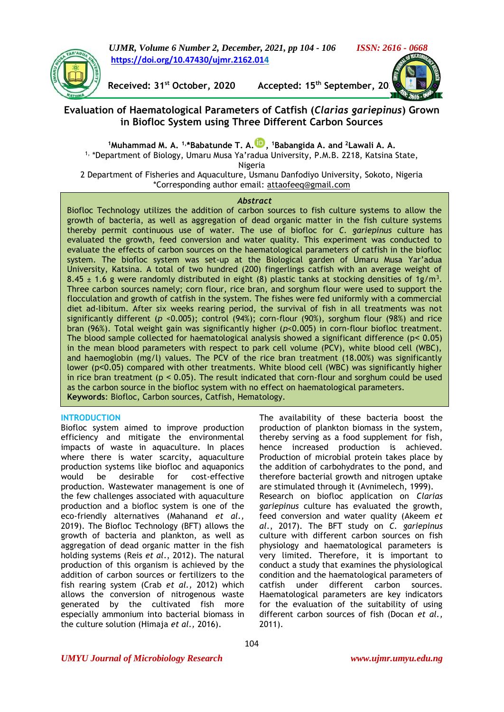*UJMR, Volume 6 Number 2, December, 2021, pp 104 - 106 ISSN: 2616 - 0668* **[https://doi.org/10.47430/ujmr.2162.014](https://doi.org/10.47430/ujmr.2162.01)**



**Received: 31<sup>st</sup> October, 2020** Accepted: 15<sup>th</sup> September, 20

# **Evaluation of Haematological Parameters of Catfish (***Clarias gariepinus***) Grown in Biofloc System using Three Different Carbon Sources**

**<sup>1</sup>Muhammad M. A. 1,\*Babatunde T. A. , <sup>1</sup>Babangida A. and <sup>2</sup>Lawali A. A.** <sup>1,</sup> \*Department of Biology, Umaru Musa Ya'radua University, P.M.B. 2218, Katsina State,

Nigeria

2 Department of Fisheries and Aquaculture, Usmanu Danfodiyo University, Sokoto, Nigeria \*Corresponding author email: [attaofeeq@gmail.com](mailto:attaofeeq@gmail.com)

## *Abstract*

Biofloc Technology utilizes the addition of carbon sources to fish culture systems to allow the growth of bacteria, as well as aggregation of dead organic matter in the fish culture systems thereby permit continuous use of water. The use of biofloc for *C. gariepinus* culture has evaluated the growth, feed conversion and water quality. This experiment was conducted to evaluate the effects of carbon sources on the haematological parameters of catfish in the biofloc system. The biofloc system was set-up at the Biological garden of Umaru Musa Yar'adua University, Katsina. A total of two hundred (200) fingerlings catfish with an average weight of 8.45  $\pm$  1.6 g were randomly distributed in eight (8) plastic tanks at stocking densities of 1g/m<sup>3</sup>. Three carbon sources namely; corn flour, rice bran, and sorghum flour were used to support the flocculation and growth of catfish in the system. The fishes were fed uniformly with a commercial diet ad-libitum. After six weeks rearing period, the survival of fish in all treatments was not significantly different (*p* <0.005); control (94%); corn-flour (90%), sorghum flour (98%) and rice bran (96%). Total weight gain was significantly higher (*p*<0.005) in corn-flour biofloc treatment. The blood sample collected for haematological analysis showed a significant difference ( $p < 0.05$ ) in the mean blood parameters with respect to park cell volume (PCV), white blood cell (WBC), and haemoglobin (mg/l) values. The PCV of the rice bran treatment (18.00%) was significantly lower (p˂0.05) compared with other treatments. White blood cell (WBC) was significantly higher in rice bran treatment ( $p < 0.05$ ). The result indicated that corn-flour and sorghum could be used as the carbon source in the biofloc system with no effect on haematological parameters. **Keywords**: Biofloc, Carbon sources, Catfish, Hematology.

## **INTRODUCTION**

Biofloc system aimed to improve production efficiency and mitigate the environmental impacts of waste in aquaculture. In places where there is water scarcity, aquaculture production systems like biofloc and aquaponics would be desirable for cost-effective production. Wastewater management is one of the few challenges associated with aquaculture production and a biofloc system is one of the eco-friendly alternatives (Mahanand *et al.,*  2019). The Biofloc Technology (BFT) allows the growth of bacteria and plankton, as well as aggregation of dead organic matter in the fish holding systems (Reis *et al*., 2012). The natural production of this organism is achieved by the addition of carbon sources or fertilizers to the fish rearing system (Crab *et al.,* 2012) which allows the conversion of nitrogenous waste generated by the cultivated fish more especially ammonium into bacterial biomass in the culture solution (Himaja *et al.,* 2016).

The availability of these bacteria boost the production of plankton biomass in the system, thereby serving as a food supplement for fish, hence increased production is achieved. Production of microbial protein takes place by the addition of carbohydrates to the pond, and therefore bacterial growth and nitrogen uptake are stimulated through it (Avnimelech, 1999). Research on biofloc application on *Clarias gariepinus* culture has evaluated the growth, feed conversion and water quality (Akeem *et al*., 2017). The BFT study on *C. gariepinus*  culture with different carbon sources on fish physiology and haematological parameters is very limited. Therefore, it is important to conduct a study that examines the physiological condition and the haematological parameters of catfish under different carbon sources. Haematological parameters are key indicators for the evaluation of the suitability of using different carbon sources of fish (Docan *et al.,* 2011).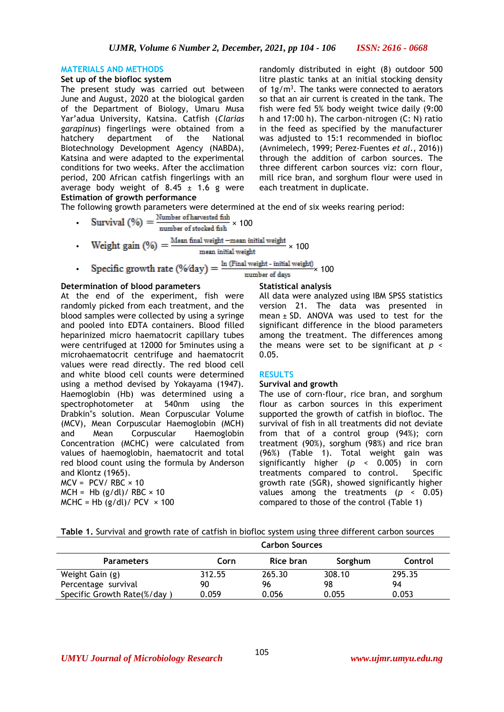## **MATERIALS AND METHODS**

## **Set up of the biofloc system**

The present study was carried out between June and August, 2020 at the biological garden of the Department of Biology, Umaru Musa Yar'adua University, Katsina. Catfish (*Clarias garapinus*) fingerlings were obtained from a hatchery department of the National Biotechnology Development Agency (NABDA), Katsina and were adapted to the experimental conditions for two weeks. After the acclimation period, 200 African catfish fingerlings with an average body weight of  $8.45 \pm 1.6$  g were **Estimation of growth performance**

randomly distributed in eight (8) outdoor 500 litre plastic tanks at an initial stocking density of  $1g/m<sup>3</sup>$ . The tanks were connected to aerators so that an air current is created in the tank. The fish were fed 5% body weight twice daily (9:00 h and 17:00 h). The carbon-nitrogen (C: N) ratio in the feed as specified by the manufacturer was adjusted to 15:1 recommended in biofloc (Avnimelech, 1999; Perez-Fuentes *et al*., 2016)) through the addition of carbon sources. The three different carbon sources viz: corn flour, mill rice bran, and sorghum flour were used in each treatment in duplicate.

The following growth parameters were determined at the end of six weeks rearing period:

- Survival  $(\%) = \frac{\text{Number of harvested fish}}{\text{number of stocked fish}} \times 100$
- Weight gain  $(\%) = \frac{\text{Mean final weight} \text{mean initial weight}}{\text{mean initial weight}} \times 100$

Specific growth rate  $(\%$ day) =  $\frac{\ln$  (Final weight - initial weight)  $\times$  100

## **Determination of blood parameters**

At the end of the experiment, fish were randomly picked from each treatment, and the blood samples were collected by using a syringe and pooled into EDTA containers. Blood filled heparinized micro haematocrit capillary tubes were centrifuged at 12000 for 5minutes using a microhaematocrit centrifuge and haematocrit values were read directly. The red blood cell and white blood cell counts were determined using a method devised by Yokayama (1947). Haemoglobin (Hb) was determined using a spectrophotometer at 540nm using the Drabkin"s solution. Mean Corpuscular Volume (MCV), Mean Corpuscular Haemoglobin (MCH) and Mean Corpuscular Haemoglobin Concentration (MCHC) were calculated from values of haemoglobin, haematocrit and total red blood count using the formula by Anderson and Klontz (1965).  $MCV = PCV / RBC \times 10$  $MCH = Hb (g/dl)/ RBC \times 10$ 

## **Statistical analysis**

All data were analyzed using IBM SPSS statistics version 21. The data was presented in mean  $\pm$  SD. ANOVA was used to test for the significant difference in the blood parameters among the treatment. The differences among the means were set to be significant at *p* < 0.05.

## **RESULTS**

#### **Survival and growth**

**Carbon Sources**

The use of corn-flour, rice bran, and sorghum flour as carbon sources in this experiment supported the growth of catfish in biofloc. The survival of fish in all treatments did not deviate from that of a control group (94%); corn treatment (90%), sorghum (98%) and rice bran (96%) (Table 1). Total weight gain was significantly higher (*p* < 0.005) in corn treatments compared to control. Specific growth rate (SGR), showed significantly higher values among the treatments (*p* < 0.05) compared to those of the control (Table 1)

|  |  |  |  |  |  |  | Table 1. Survival and growth rate of catfish in biofloc system using three different carbon sources |
|--|--|--|--|--|--|--|-----------------------------------------------------------------------------------------------------|
|--|--|--|--|--|--|--|-----------------------------------------------------------------------------------------------------|

|                             | Carbon Sources |           |         |         |  |  |  |
|-----------------------------|----------------|-----------|---------|---------|--|--|--|
| <b>Parameters</b>           | Corn           | Rice bran | Sorghum | Control |  |  |  |
| Weight Gain (g)             | 312.55         | 265.30    | 308.10  | 295.35  |  |  |  |
| Percentage survival         | 90             | 96        | 98      | 94      |  |  |  |
| Specific Growth Rate(%/day) | 0.059          | 0.056     | 0.055   | 0.053   |  |  |  |

 $MCHC = Hb (g/dl)/ PCV \times 100$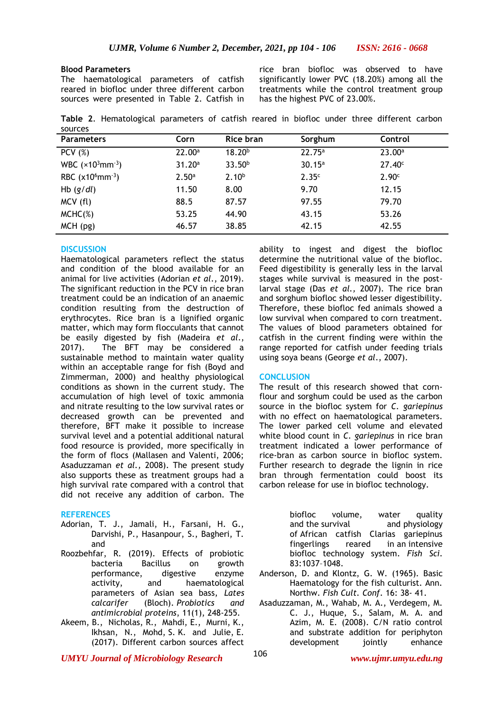## **Blood Parameters**

The haematological parameters of catfish reared in biofloc under three different carbon sources were presented in Table 2. Catfish in

rice bran biofloc was observed to have significantly lower PVC (18.20%) among all the treatments while the control treatment group has the highest PVC of 23.00%.

**Table 2**. Hematological parameters of catfish reared in biofloc under three different carbon sources

| <b>Parameters</b>               | Corn              | Rice bran          | Sorghum           | Control            |
|---------------------------------|-------------------|--------------------|-------------------|--------------------|
| PCV(%)                          | 22.00a            | $18.20^{b}$        | $22.75^a$         | $23.00^a$          |
| WBC $(x10^3$ mm <sup>-3</sup> ) | 31.20a            | 33.50 <sup>b</sup> | 30.15a            | 27.40 <sup>c</sup> |
| RBC $(x10^6$ mm <sup>-3</sup> ) | 2.50 <sup>a</sup> | 2.10 <sup>b</sup>  | 2.35 <sup>c</sup> | 2.90 <sup>c</sup>  |
| Hb $(g/dl)$                     | 11.50             | 8.00               | 9.70              | 12.15              |
| MCV (fl)                        | 88.5              | 87.57              | 97.55             | 79.70              |
| $MCHC(\%)$                      | 53.25             | 44.90              | 43.15             | 53.26              |
| $MCH$ (pg)                      | 46.57             | 38.85              | 42.15             | 42.55              |

## **DISCUSSION**

Haematological parameters reflect the status and condition of the blood available for an animal for live activities (Adorian *et al*., 2019). The significant reduction in the PCV in rice bran treatment could be an indication of an anaemic condition resulting from the destruction of erythrocytes. Rice bran is a lignified organic matter, which may form flocculants that cannot be easily digested by fish (Madeira *et al*., 2017). The BFT may be considered a sustainable method to maintain water quality within an acceptable range for fish (Boyd and Zimmerman, 2000) and healthy physiological conditions as shown in the current study. The accumulation of high level of toxic ammonia and nitrate resulting to the low survival rates or decreased growth can be prevented and therefore, BFT make it possible to increase survival level and a potential additional natural food resource is provided, more specifically in the form of flocs (Mallasen and Valenti, 2006; Asaduzzaman *et al.,* 2008). The present study also supports these as treatment groups had a high survival rate compared with a control that did not receive any addition of carbon. The

## **REFERENCES**

- Adorian, T. J., Jamali, H., Farsani, H. G., Darvishi, P., Hasanpour, S., Bagheri, T. and
- Roozbehfar, R. (2019). Effects of probiotic bacteria Bacillus on growth performance, digestive enzyme activity, and haematological parameters of Asian sea bass, *Lates calcarifer* (Bloch). *Probiotics and antimicrobial proteins*, 11(1), 248-255.
- Akeem, B., Nicholas, R., Mahdi, E., Murni, K., Ikhsan, N., Mohd, S. K. and Julie, E. (2017). Different carbon sources affect

ability to ingest and digest the biofloc determine the nutritional value of the biofloc. Feed digestibility is generally less in the larval stages while survival is measured in the postlarval stage (Das *et al.,* 2007). The rice bran and sorghum biofloc showed lesser digestibility. Therefore, these biofloc fed animals showed a low survival when compared to corn treatment. The values of blood parameters obtained for catfish in the current finding were within the range reported for catfish under feeding trials using soya beans (George *et al*., 2007).

## **CONCLUSION**

The result of this research showed that cornflour and sorghum could be used as the carbon source in the biofloc system for *C. gariepinus* with no effect on haematological parameters. The lower parked cell volume and elevated white blood count in *C. gariepinus* in rice bran treatment indicated a lower performance of rice-bran as carbon source in biofloc system. Further research to degrade the lignin in rice bran through fermentation could boost its carbon release for use in biofloc technology.

> biofloc volume, water quality and the survival and physiology of African catfish Clarias gariepinus fingerlings reared in an intensive biofloc technology system. *Fish Sci*. 83:1037–1048.

- Anderson, D. and Klontz, G. W. (1965). Basic Haematology for the fish culturist. Ann. Northw. *Fish Cult. Conf*. 16: 38- 41.
- Asaduzzaman, M., Wahab, M. A., Verdegem, M. C. J., Huque, S., Salam, M. A. and Azim, M. E. (2008). C/N ratio control and substrate addition for periphyton development jointly enhance